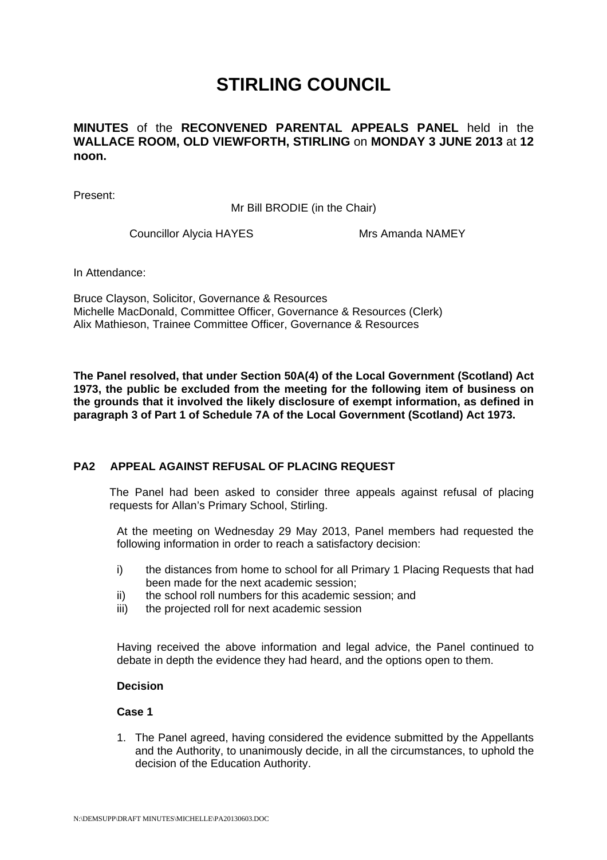# **STIRLING COUNCIL**

**MINUTES** of the **RECONVENED PARENTAL APPEALS PANEL** held in the **WALLACE ROOM, OLD VIEWFORTH, STIRLING** on **MONDAY 3 JUNE 2013** at **12 noon.** 

Present:

Mr Bill BRODIE (in the Chair)

Councillor Alycia HAYES Mrs Amanda NAMEY

In Attendance:

Bruce Clayson, Solicitor, Governance & Resources Michelle MacDonald, Committee Officer, Governance & Resources (Clerk) Alix Mathieson, Trainee Committee Officer, Governance & Resources

**The Panel resolved, that under Section 50A(4) of the Local Government (Scotland) Act 1973, the public be excluded from the meeting for the following item of business on the grounds that it involved the likely disclosure of exempt information, as defined in paragraph 3 of Part 1 of Schedule 7A of the Local Government (Scotland) Act 1973.** 

### **[PA2 APPEAL AGAINST REFUSAL OF PLACING REQUEST](/forms/request.htm)**

The Panel had been asked to consider three appeals against refusal of placing requests for Allan's Primary School, Stirling.

At the meeting on Wednesday 29 May 2013, Panel members had requested the following information in order to reach a satisfactory decision:

- i) the distances from home to school for all Primary 1 Placing Requests that had been made for the next academic session;
- ii) the school roll numbers for this academic session; and
- iii) the projected roll for next academic session

Having received the above information and legal advice, the Panel continued to debate in depth the evidence they had heard, and the options open to them.

#### **Decision**

## **Case 1**

1. The Panel agreed, having considered the evidence submitted by the Appellants and the Authority, to unanimously decide, in all the circumstances, to uphold the decision of the Education Authority.